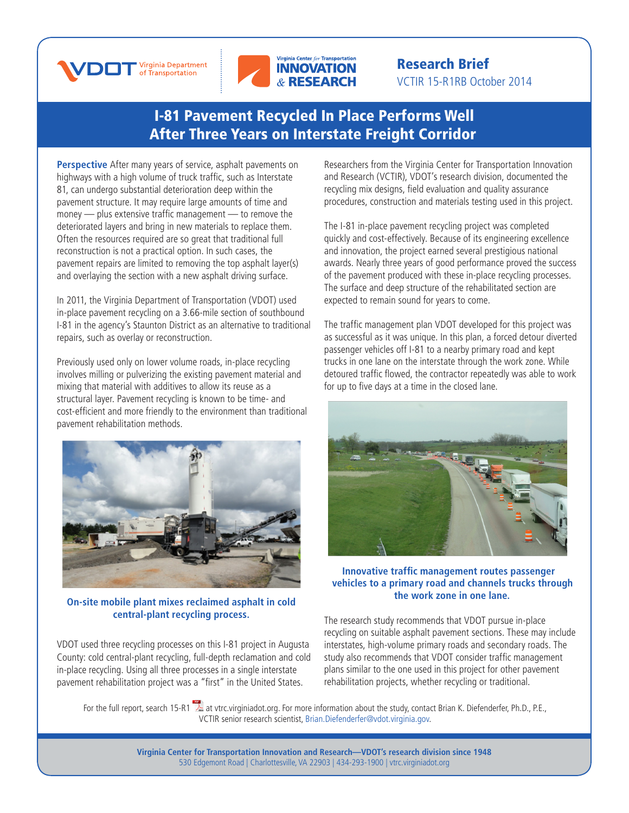



## Research Brief VCTIR 15-R1RB October 2014

# [I-81 Pavement Recycled In Place Performs Well](http://www.virginiadot.org/vtrc/main/online_reports/pdf/15-r1.pdf)  After Three Years on Interstate Freight Corridor

**Perspective** After many years of service, asphalt pavements on highways with a high volume of truck traffic, such as Interstate 81, can undergo substantial deterioration deep within the pavement structure. It may require large amounts of time and money — plus extensive traffic management — to remove the deteriorated layers and bring in new materials to replace them. Often the resources required are so great that traditional full reconstruction is not a practical option. In such cases, the pavement repairs are limited to removing the top asphalt layer(s) and overlaying the section with a new asphalt driving surface.

In 2011, the Virginia Department of Transportation (VDOT) used in-place pavement recycling on a 3.66-mile section of southbound I-81 in the agency's Staunton District as an alternative to traditional repairs, such as overlay or reconstruction.

Previously used only on lower volume roads, in-place recycling involves milling or pulverizing the existing pavement material and mixing that material with additives to allow its reuse as a structural layer. Pavement recycling is known to be time- and cost-efficient and more friendly to the environment than traditional pavement rehabilitation methods.



#### **On-site mobile plant mixes reclaimed asphalt in cold central-plant recycling process.**

VDOT used three recycling processes on this I-81 project in Augusta County: cold central-plant recycling, full-depth reclamation and cold in-place recycling. Using all three processes in a single interstate pavement rehabilitation project was a "first" in the United States.

Researchers from the Virginia Center for Transportation Innovation and Research (VCTIR), VDOT's research division, documented the recycling mix designs, field evaluation and quality assurance procedures, construction and materials testing used in this project.

The I-81 in-place pavement recycling project was completed quickly and cost-effectively. Because of its engineering excellence and innovation, the project earned several prestigious national awards. Nearly three years of good performance proved the success of the pavement produced with these in-place recycling processes. The surface and deep structure of the rehabilitated section are expected to remain sound for years to come.

The traffic management plan VDOT developed for this project was as successful as it was unique. In this plan, a forced detour diverted passenger vehicles off I-81 to a nearby primary road and kept trucks in one lane on the interstate through the work zone. While detoured traffic flowed, the contractor repeatedly was able to work for up to five days at a time in the closed lane.



#### **Innovative traffic management routes passenger vehicles to a primary road and channels trucks through the work zone in one lane.**

The research study recommends that VDOT pursue in-place recycling on suitable asphalt pavement sections. These may include interstates, high-volume primary roads and secondary roads. The study also recommends that VDOT consider traffic management plans similar to the one used in this project for other pavement rehabilitation projects, whether recycling or traditional.

For the full report, search [15-R](http://www.virginiadot.org/vtrc/main/online_reports/pdf/15-r1.pdf)1 at [vtrc.virginiadot.org.](http://vtrc.virginiadot.org) For more information about the study, contact Brian K. Diefenderfer, Ph.D., P.E., VCTIR senior research scientist, Brian.Diefenderfer@vdot.virginia.gov.

> **Virginia Center for Transportation Innovation and Research—VDOT's research division since 1948** 530 Edgemont Road | Charlottesville, VA 22903 | 434-293-1900 | [vtrc.virginiadot.org](http://vtrc.virginiadot.org)